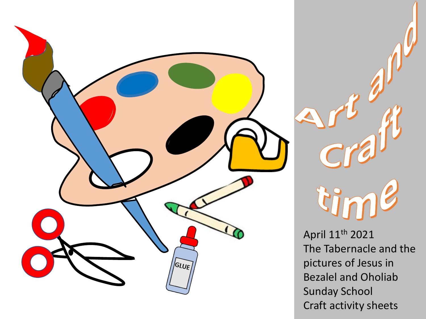



April 11th 2021 The Tabernacle and the pictures of Jesus in Bezalel and Oholiab Sunday School Craft activity sheets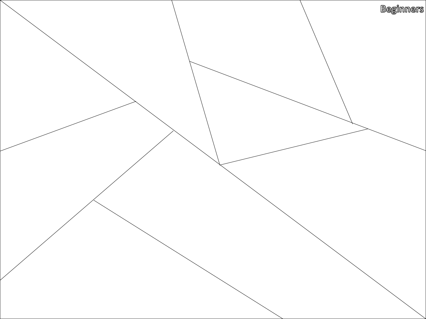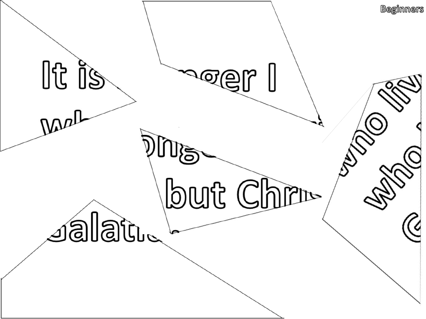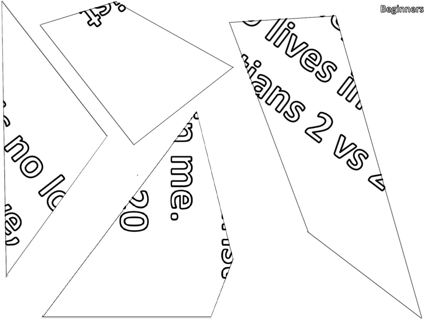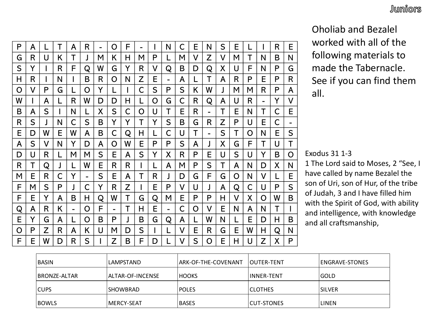P | A | L | T | A | R | - | O | F | - | I | N | C | E | N | S | E | L | I | R | E G | R | U | K | T | J | M | K | H | M | P | L | M | V | Z | V | M | T | N | B | N S | Y | I | R | F | Q | W | G | Y | R | V | Q | B | D | Q | X | U | F | N | P | G H | R | I | N | I | B | R | O | N | Z | E | - | A | L | T | A | R | P | E | P | R O I V I P I G I L I O I Y I L I I I C I S I P I S I K I W I J I M I M I R I P I A W | I | A | L | R | W | D | D | H | L | O | G | C | R | Q | A | U | R | - | Y | V B | A | S | I | N | L | X | S | C | O | U | T | E | R | - | T | E | N | T | C | E R | S | J | N | C | S | B | Y | Y | T | Y | S | B | G | R | Z | P | U | E | C | -E | D | W | E | W | A | B | C | Q | H | L | C | U | T | - | S | T | O | N | E | S A I S I V I N I Y I D I A I O I W I E I P I P I S I A I J I X I G I F I T I U I T D | U | R | L | M | M | S | E | A | S | Y | X | R | P | E | U | S | U | Y | B | O R | T | Q | J | L | W | E | R | R | I | L | A | M | P | S | T | A | N | D | X | N M I E I R I C I Y I - I S I E I A I T I R I J I D I G I F I G I O I N I V I L I E F | M | S | P | J | C | Y | R | Z | I | E | P | V | U | J | A | Q | C | U | P | S F | E | Y | A | B | H | Q | W | T | G | Q | M | E | P | P | H | V | X | O | W | B Q | A | R | K | - | O | F | - | T | H | E | - | C | O | V | E | N | A | N | T | I E | Y | G | A | L | O | B | P | J | B | G | Q | A | L | W | N | L | E | D | H | B O | P | Z | R | A | K | U | M | D | S | I | L | V | E | R | G | E | W | H | Q | N F | E | W | D | R | S | I | Z | B | F | D | L | V | S | O | E | H | U | Z | X | P R | - | Y | V |  $N$  | T | C | E |  $\blacksquare$ U | E | C | - |  $O | N | E | S |$  $F$  | T | U | T |  $\blacksquare$  $\mathsf{U} \mid \mathsf{Y} \mid \mathsf{B} \mid \mathsf{O} \mid \mathsf{ex}$  exodus 31 1-3  $N$  | H | Q | N |  $\mathsf{U}$   $\mathsf{Z}$   $\mathsf{X}$   $\mathsf{P}$   $\mathsf{I}$ 

Oholiab and Bezalel worked with all of the following materials to made the Tabernacle.  $\mathsf{P} \mid \mathsf{E} \mid \mathsf{P} \mid \mathsf{R}$  See if you can find them all.  $M \mid R \mid P \mid A \mid \quad \text{all}$ 

Exodus 31 1-3

 $\overline{\textsf{N} \mid \textsf{D} \mid \textsf{X} \mid \textsf{N}}$   $\mid$   $\;$   $\;$   $\;$  The Lord said to Moses, 2 "See, I  $\overline{N}$   $\overline{V}$   $\overline{L}$   $\overline{E}$  have called by name Bezalel the  $\overline{C}$  U  $\overline{P}$  S  $\overline{S}$  son of Uri, son of Hur, of the tribe of Judah, 3 and I have filled him  $\begin{array}{|c|c|c|c|c|}\n\hline\n\text{A} & \text{N} & \text{F} & \text{J} & \text{with the Spirit of God, with ability}\n\hline\n\end{array}$  $\begin{array}{c|c|c|c|c|c} A & N & T & I \\ \hline \end{array}$  and intelligence, with knowledge  $E | D | H | B$  and all craftsmanship,

| BASIN                | LAMPSTAND          | ARK-OF-THE-COVENANT | <b>IOUTER-TENT</b> | <b>ENGRAVE-STONES</b> |
|----------------------|--------------------|---------------------|--------------------|-----------------------|
| <b>IBRONZE-ALTAR</b> | ALTAR-OF-INCENSE   | <b>HOOKS</b>        | <b>IINNER-TENT</b> | <b>GOLD</b>           |
| <b>CUPS</b>          | <b>SHOWBRAD</b>    | <b>POLES</b>        | <b>ICLOTHES</b>    | <b>SILVER</b>         |
| <b>BOWLS</b>         | <b>IMERCY-SEAT</b> | <b>BASES</b>        | <b>CUT-STONES</b>  | <b>LINEN</b>          |